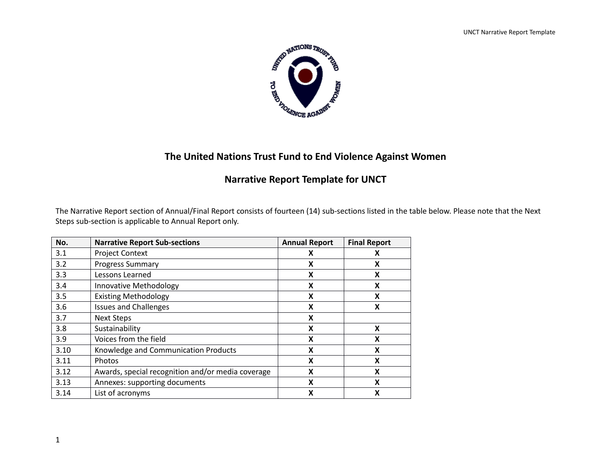

# **The United Nations Trust Fund to End Violence Against Women**

# **Narrative Report Template for UNCT**

The Narrative Report section of Annual/Final Report consists of fourteen (14) sub-sections listed in the table below. Please note that the Next Steps sub-section is applicable to Annual Report only.

| No.  | <b>Narrative Report Sub-sections</b>                   | <b>Annual Report</b> | <b>Final Report</b> |
|------|--------------------------------------------------------|----------------------|---------------------|
| 3.1  | <b>Project Context</b>                                 | x                    | x                   |
| 3.2  | <b>Progress Summary</b>                                | x                    | Χ                   |
| 3.3  | Lessons Learned                                        | X                    | X                   |
| 3.4  | <b>Innovative Methodology</b>                          | X                    | X                   |
| 3.5  | <b>Existing Methodology</b><br>X                       |                      | X                   |
| 3.6  | <b>Issues and Challenges</b><br>X                      |                      | Χ                   |
| 3.7  | <b>Next Steps</b>                                      | x                    |                     |
| 3.8  | Sustainability<br>X                                    |                      | x                   |
| 3.9  | Voices from the field<br>X                             |                      | x                   |
| 3.10 | X<br>Knowledge and Communication Products              |                      | X                   |
| 3.11 | X<br>Photos<br>X                                       |                      |                     |
| 3.12 | Awards, special recognition and/or media coverage<br>X |                      | x                   |
| 3.13 | X<br>Annexes: supporting documents                     |                      | χ                   |
| 3.14 | X<br>List of acronyms                                  |                      | Χ                   |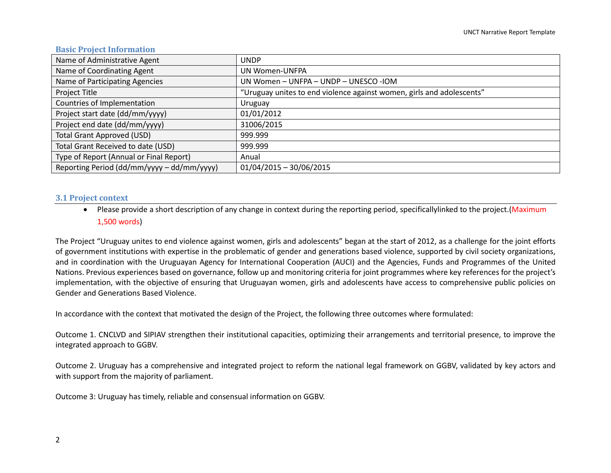#### **Basic Project Information**

| Name of Administrative Agent               | <b>UNDP</b>                                                           |
|--------------------------------------------|-----------------------------------------------------------------------|
| Name of Coordinating Agent                 | <b>UN Women-UNFPA</b>                                                 |
| Name of Participating Agencies             | UN Women - UNFPA - UNDP - UNESCO -IOM                                 |
| Project Title                              | "Uruguay unites to end violence against women, girls and adolescents" |
| Countries of Implementation                | Uruguay                                                               |
| Project start date (dd/mm/yyyy)            | 01/01/2012                                                            |
| Project end date (dd/mm/yyyy)              | 31006/2015                                                            |
| <b>Total Grant Approved (USD)</b>          | 999.999                                                               |
| Total Grant Received to date (USD)         | 999.999                                                               |
| Type of Report (Annual or Final Report)    | Anual                                                                 |
| Reporting Period (dd/mm/yyyy - dd/mm/yyyy) | $01/04/2015 - 30/06/2015$                                             |

#### **3.1 Project context**

• Please provide a short description of any change in context during the reporting period, specificallylinked to the project. (Maximum 1,500 words)

The Project "Uruguay unites to end violence against women, girls and adolescents" began at the start of 2012, as a challenge for the joint efforts of government institutions with expertise in the problematic of gender and generations based violence, supported by civil society organizations, and in coordination with the Uruguayan Agency for International Cooperation (AUCI) and the Agencies, Funds and Programmes of the United Nations. Previous experiences based on governance, follow up and monitoring criteria for joint programmes where key references for the project's implementation, with the objective of ensuring that Uruguayan women, girls and adolescents have access to comprehensive public policies on Gender and Generations Based Violence.

In accordance with the context that motivated the design of the Project, the following three outcomes where formulated:

Outcome 1. CNCLVD and SIPIAV strengthen their institutional capacities, optimizing their arrangements and territorial presence, to improve the integrated approach to GGBV.

Outcome 2. Uruguay has a comprehensive and integrated project to reform the national legal framework on GGBV, validated by key actors and with support from the majority of parliament.

Outcome 3: Uruguay has timely, reliable and consensual information on GGBV.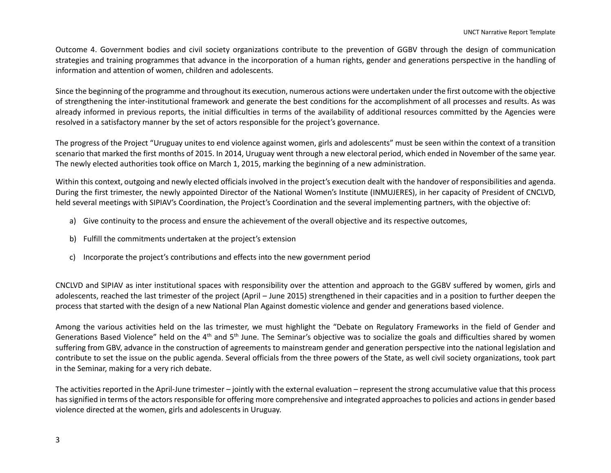Outcome 4. Government bodies and civil society organizations contribute to the prevention of GGBV through the design of communication strategies and training programmes that advance in the incorporation of a human rights, gender and generations perspective in the handling of information and attention of women, children and adolescents.

Since the beginning of the programme and throughout its execution, numerous actions were undertaken under the first outcome with the objective of strengthening the inter-institutional framework and generate the best conditions for the accomplishment of all processes and results. As was already informed in previous reports, the initial difficulties in terms of the availability of additional resources committed by the Agencies were resolved in a satisfactory manner by the set of actors responsible for the project's governance.

The progress of the Project "Uruguay unites to end violence against women, girls and adolescents" must be seen within the context of a transition scenario that marked the first months of 2015. In 2014, Uruguay went through a new electoral period, which ended in November of the same year. The newly elected authorities took office on March 1, 2015, marking the beginning of a new administration.

Within this context, outgoing and newly elected officials involved in the project's execution dealt with the handover of responsibilities and agenda. During the first trimester, the newly appointed Director of the National Women's Institute (INMUJERES), in her capacity of President of CNCLVD, held several meetings with SIPIAV's Coordination, the Project's Coordination and the several implementing partners, with the objective of:

- a) Give continuity to the process and ensure the achievement of the overall objective and its respective outcomes,
- b) Fulfill the commitments undertaken at the project's extension
- c) Incorporate the project's contributions and effects into the new government period

CNCLVD and SIPIAV as inter institutional spaces with responsibility over the attention and approach to the GGBV suffered by women, girls and adolescents, reached the last trimester of the project (April – June 2015) strengthened in their capacities and in a position to further deepen the process that started with the design of a new National Plan Against domestic violence and gender and generations based violence.

Among the various activities held on the las trimester, we must highlight the "Debate on Regulatory Frameworks in the field of Gender and Generations Based Violence" held on the 4<sup>th</sup> and 5<sup>th</sup> June. The Seminar's objective was to socialize the goals and difficulties shared by women suffering from GBV, advance in the construction of agreements to mainstream gender and generation perspective into the national legislation and contribute to set the issue on the public agenda. Several officials from the three powers of the State, as well civil society organizations, took part in the Seminar, making for a very rich debate.

The activities reported in the April-June trimester – jointly with the external evaluation – represent the strong accumulative value that this process has signified in terms of the actors responsible for offering more comprehensive and integrated approaches to policies and actions in gender based violence directed at the women, girls and adolescents in Uruguay.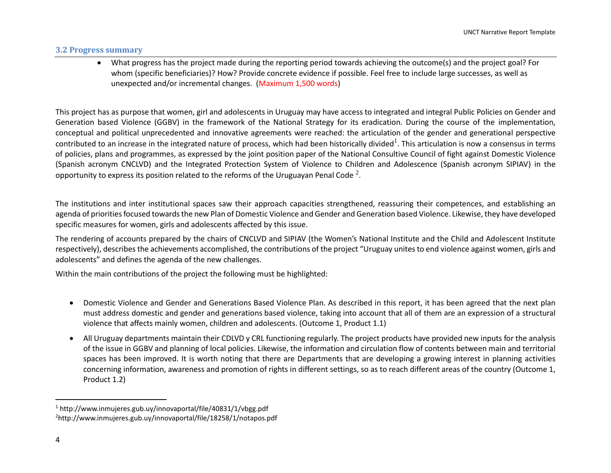#### **3.2 Progress summary**

 What progress has the project made during the reporting period towards achieving the outcome(s) and the project goal? For whom (specific beneficiaries)? How? Provide concrete evidence if possible. Feel free to include large successes, as well as unexpected and/or incremental changes. (Maximum 1,500 words)

This project has as purpose that women, girl and adolescents in Uruguay may have access to integrated and integral Public Policies on Gender and Generation based Violence (GGBV) in the framework of the National Strategy for its eradication. During the course of the implementation, conceptual and political unprecedented and innovative agreements were reached: the articulation of the gender and generational perspective contributed to an increase in the integrated nature of process, which had been historically divided<sup>1</sup>. This articulation is now a consensus in terms of policies, plans and programmes, as expressed by the joint position paper of the National Consultive Council of fight against Domestic Violence (Spanish acronym CNCLVD) and the Integrated Protection System of Violence to Children and Adolescence (Spanish acronym SIPIAV) in the opportunity to express its position related to the reforms of the Uruguayan Penal Code  $^2$ .

The institutions and inter institutional spaces saw their approach capacities strengthened, reassuring their competences, and establishing an agenda of priorities focused towards the new Plan of Domestic Violence and Gender and Generation based Violence. Likewise, they have developed specific measures for women, girls and adolescents affected by this issue.

The rendering of accounts prepared by the chairs of CNCLVD and SIPIAV (the Women's National Institute and the Child and Adolescent Institute respectively), describes the achievements accomplished, the contributions of the project "Uruguay unites to end violence against women, girls and adolescents" and defines the agenda of the new challenges.

Within the main contributions of the project the following must be highlighted:

- Domestic Violence and Gender and Generations Based Violence Plan. As described in this report, it has been agreed that the next plan must address domestic and gender and generations based violence, taking into account that all of them are an expression of a structural violence that affects mainly women, children and adolescents. (Outcome 1, Product 1.1)
- All Uruguay departments maintain their CDLVD y CRL functioning regularly. The project products have provided new inputs for the analysis of the issue in GGBV and planning of local policies. Likewise, the information and circulation flow of contents between main and territorial spaces has been improved. It is worth noting that there are Departments that are developing a growing interest in planning activities concerning information, awareness and promotion of rights in different settings, so as to reach different areas of the country (Outcome 1, Product 1.2)

 $\overline{\phantom{a}}$ 

<sup>1</sup> http://www.inmujeres.gub.uy/innovaportal/file/40831/1/vbgg.pdf 2<http://www.inmujeres.gub.uy/innovaportal/file/18258/1/notapos.pdf>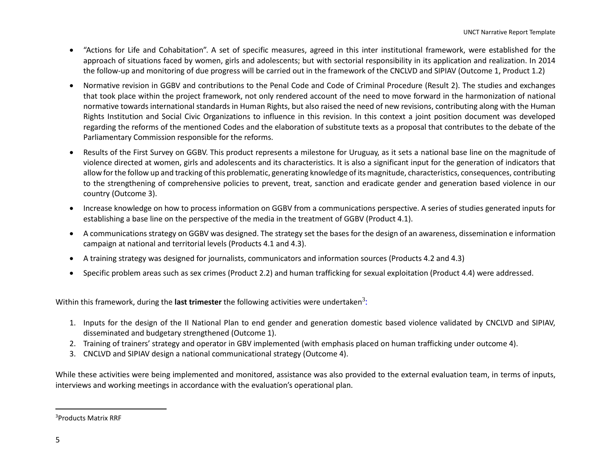- "Actions for Life and Cohabitation". A set of specific measures, agreed in this inter institutional framework, were established for the approach of situations faced by women, girls and adolescents; but with sectorial responsibility in its application and realization. In 2014 the follow-up and monitoring of due progress will be carried out in the framework of the CNCLVD and SIPIAV (Outcome 1, Product 1.2)
- Normative revision in GGBV and contributions to the Penal Code and Code of Criminal Procedure (Result 2). The studies and exchanges that took place within the project framework, not only rendered account of the need to move forward in the harmonization of national normative towards international standards in Human Rights, but also raised the need of new revisions, contributing along with the Human Rights Institution and Social Civic Organizations to influence in this revision. In this context a joint position document was developed regarding the reforms of the mentioned Codes and the elaboration of substitute texts as a proposal that contributes to the debate of the Parliamentary Commission responsible for the reforms.
- Results of the First Survey on GGBV. This product represents a milestone for Uruguay, as it sets a national base line on the magnitude of violence directed at women, girls and adolescents and its characteristics. It is also a significant input for the generation of indicators that allow for the follow up and tracking of this problematic, generating knowledge of its magnitude, characteristics, consequences, contributing to the strengthening of comprehensive policies to prevent, treat, sanction and eradicate gender and generation based violence in our country (Outcome 3).
- Increase knowledge on how to process information on GGBV from a communications perspective. A series of studies generated inputs for establishing a base line on the perspective of the media in the treatment of GGBV (Product 4.1).
- A communications strategy on GGBV was designed. The strategy set the bases for the design of an awareness, dissemination e information campaign at national and territorial levels (Products 4.1 and 4.3).
- A training strategy was designed for journalists, communicators and information sources (Products 4.2 and 4.3)
- Specific problem areas such as sex crimes (Product 2.2) and human trafficking for sexual exploitation (Product 4.4) were addressed.

Within this framework, during the **last trimester** the following activities were undertaken<sup>3</sup>:

- 1. Inputs for the design of the II National Plan to end gender and generation domestic based violence validated by CNCLVD and SIPIAV, disseminated and budgetary strengthened (Outcome 1).
- 2. Training of trainers' strategy and operator in GBV implemented (with emphasis placed on human trafficking under outcome 4).
- 3. CNCLVD and SIPIAV design a national communicational strategy (Outcome 4).

While these activities were being implemented and monitored, assistance was also provided to the external evaluation team, in terms of inputs, interviews and working meetings in accordance with the evaluation's operational plan.

 $\overline{\phantom{a}}$ 

<sup>3</sup>Products Matrix RRF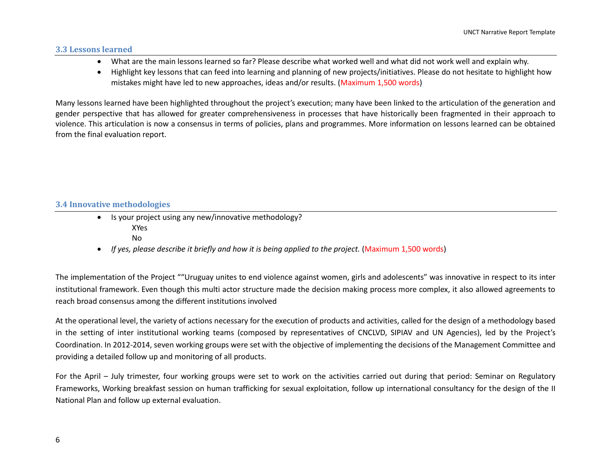#### **3.3 Lessons learned**

- What are the main lessons learned so far? Please describe what worked well and what did not work well and explain why.
- Highlight key lessons that can feed into learning and planning of new projects/initiatives. Please do not hesitate to highlight how mistakes might have led to new approaches, ideas and/or results. (Maximum 1,500 words)

Many lessons learned have been highlighted throughout the project's execution; many have been linked to the articulation of the generation and gender perspective that has allowed for greater comprehensiveness in processes that have historically been fragmented in their approach to violence. This articulation is now a consensus in terms of policies, plans and programmes. More information on lessons learned can be obtained from the final evaluation report.

#### **3.4 Innovative methodologies**

- Is your project using any new/innovative methodology? XYes No
- *If yes, please describe it briefly and how it is being applied to the project.* (Maximum 1,500 words)

The implementation of the Project ""Uruguay unites to end violence against women, girls and adolescents" was innovative in respect to its inter institutional framework. Even though this multi actor structure made the decision making process more complex, it also allowed agreements to reach broad consensus among the different institutions involved

At the operational level, the variety of actions necessary for the execution of products and activities, called for the design of a methodology based in the setting of inter institutional working teams (composed by representatives of CNCLVD, SIPIAV and UN Agencies), led by the Project's Coordination. In 2012-2014, seven working groups were set with the objective of implementing the decisions of the Management Committee and providing a detailed follow up and monitoring of all products.

For the April – July trimester, four working groups were set to work on the activities carried out during that period: Seminar on Regulatory Frameworks, Working breakfast session on human trafficking for sexual exploitation, follow up international consultancy for the design of the II National Plan and follow up external evaluation.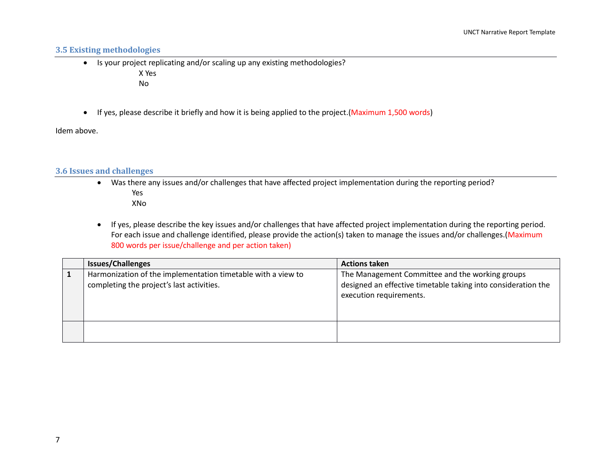# **3.5 Existing methodologies**

• Is your project replicating and/or scaling up any existing methodologies?

X Yes

No

• If yes, please describe it briefly and how it is being applied to the project. (Maximum 1,500 words)

Idem above.

#### **3.6 Issues and challenges**

 Was there any issues and/or challenges that have affected project implementation during the reporting period? Yes

XNo

 If yes, please describe the key issues and/or challenges that have affected project implementation during the reporting period. For each issue and challenge identified, please provide the action(s) taken to manage the issues and/or challenges. (Maximum 800 words per issue/challenge and per action taken)

| <b>Issues/Challenges</b>                                                                                  | <b>Actions taken</b>                                                                                                                        |
|-----------------------------------------------------------------------------------------------------------|---------------------------------------------------------------------------------------------------------------------------------------------|
| Harmonization of the implementation timetable with a view to<br>completing the project's last activities. | The Management Committee and the working groups<br>designed an effective timetable taking into consideration the<br>execution requirements. |
|                                                                                                           |                                                                                                                                             |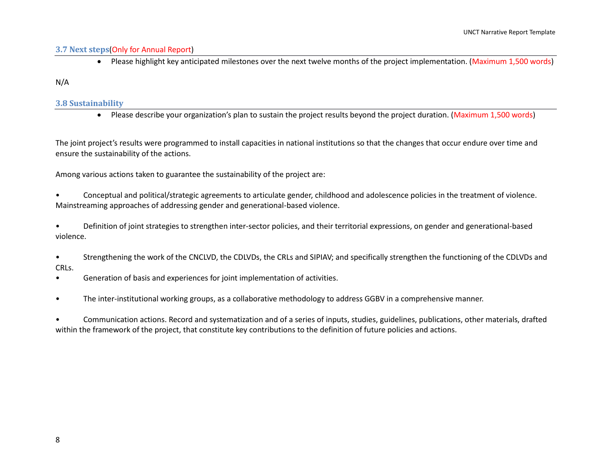#### **3.7 Next steps**(Only for Annual Report)

Please highlight key anticipated milestones over the next twelve months of the project implementation. (Maximum 1,500 words)

#### N/A

#### **3.8 Sustainability**

Please describe your organization's plan to sustain the project results beyond the project duration. (Maximum 1,500 words)

The joint project's results were programmed to install capacities in national institutions so that the changes that occur endure over time and ensure the sustainability of the actions.

Among various actions taken to guarantee the sustainability of the project are:

• Conceptual and political/strategic agreements to articulate gender, childhood and adolescence policies in the treatment of violence. Mainstreaming approaches of addressing gender and generational-based violence.

• Definition of joint strategies to strengthen inter-sector policies, and their territorial expressions, on gender and generational-based violence.

- Strengthening the work of the CNCLVD, the CDLVDs, the CRLs and SIPIAV; and specifically strengthen the functioning of the CDLVDs and CRLs.
- Generation of basis and experiences for joint implementation of activities.
- The inter-institutional working groups, as a collaborative methodology to address GGBV in a comprehensive manner.

• Communication actions. Record and systematization and of a series of inputs, studies, guidelines, publications, other materials, drafted within the framework of the project, that constitute key contributions to the definition of future policies and actions.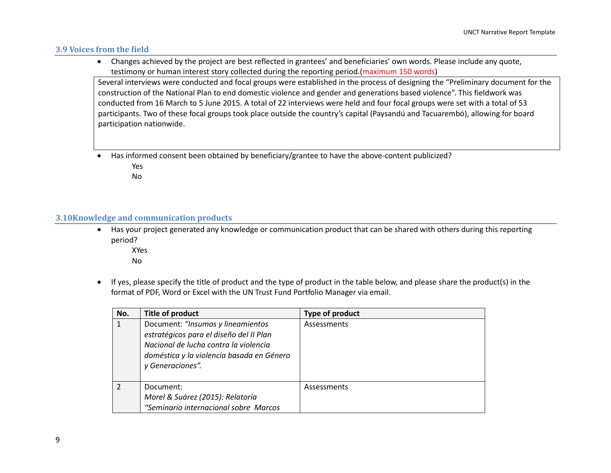#### **3.9 Voices from the field**

 Changes achieved by the project are best reflected in grantees' and beneficiaries' own words. Please include any quote, testimony or human interest story collected during the reporting period.(maximum 150 words)

Several interviews were conducted and focal groups were established in the process of designing the "Preliminary document for the construction of the National Plan to end domestic violence and gender and generations based violence". This fieldwork was conducted from 16 March to 5 June 2015. A total of 22 interviews were held and four focal groups were set with a total of 53 participants. Two of these focal groups took place outside the country's capital (Paysandú and Tacuarembó), allowing for board participation nationwide.

- Has informed consent been obtained by beneficiary/grantee to have the above-content publicized?
	- Yes

No

#### **3.10Knowledge and communication products**

 Has your project generated any knowledge or communication product that can be shared with others during this reporting period?

XYes

- No
- If yes, please specify the title of product and the type of product in the table below, and please share the product(s) in the format of PDF, Word or Excel with the UN Trust Fund Portfolio Manager via email.

| No.           | <b>Title of product</b>                                                                                                                                                                | Type of product |
|---------------|----------------------------------------------------------------------------------------------------------------------------------------------------------------------------------------|-----------------|
|               | Document: "Insumos y lineamientos<br>estratégicos para el diseño del II Plan<br>Nacional de lucha contra la violencia<br>doméstica y la violencia basada en Género<br>y Generaciones". | Assessments     |
| $\mathcal{P}$ | Document:<br>Morel & Suárez (2015): Relatoría<br>"Seminario internacional sobre Marcos                                                                                                 | Assessments     |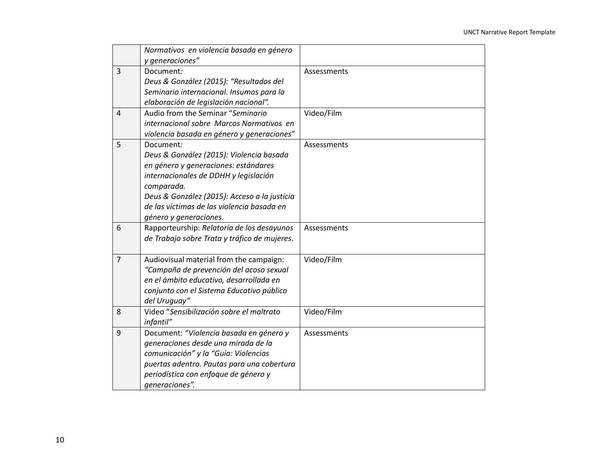|                | Normativos en violencia basada en género     |             |
|----------------|----------------------------------------------|-------------|
|                | y generaciones"                              |             |
| $\overline{3}$ | Document:                                    | Assessments |
|                | Deus & González (2015): "Resultados del      |             |
|                | Seminario internacional. Insumos para la     |             |
|                | elaboración de legislación nacional".        |             |
| $\overline{4}$ | Audio from the Seminar "Seminario            | Video/Film  |
|                | internacional sobre Marcos Normativos en     |             |
|                | violencia basada en género y generaciones"   |             |
| 5              | Document:                                    | Assessments |
|                | Deus & González (2015): Violencia basada     |             |
|                | en género y generaciones: estándares         |             |
|                | internacionales de DDHH y legislación        |             |
|                | comparada.                                   |             |
|                | Deus & González (2015): Acceso a la justicia |             |
|                | de las víctimas de las violencia basada en   |             |
|                | género y generaciones.                       |             |
| 6              | Rapporteurship: Relatoría de los desayunos   | Assessments |
|                | de Trabajo sobre Trata y tráfico de mujeres. |             |
|                |                                              |             |
| $\overline{7}$ | Audiovisual material from the campaign:      | Video/Film  |
|                | "Campaña de prevención del acoso sexual      |             |
|                | en el ámbito educativo, desarrollada en      |             |
|                | conjunto con el Sistema Educativo público    |             |
|                | del Uruguay"                                 |             |
| 8              | Video "Sensibilización sobre el maltrato     | Video/Film  |
|                | infantil"                                    |             |
| 9              | Document: "Violencia basada en género y      | Assessments |
|                | generaciones desde una mirada de la          |             |
|                | comunicación" y la "Guía: Violencias         |             |
|                | puertas adentro. Pautas para una cobertura   |             |
|                | periodística con enfoque de género y         |             |
|                | generaciones".                               |             |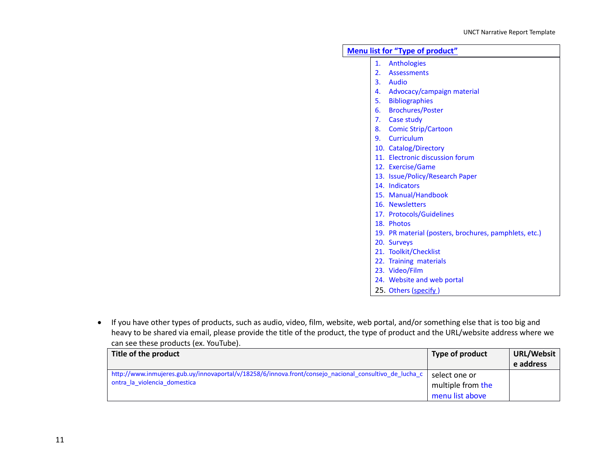|  | <b>Menu list for "Type of product"</b>                |
|--|-------------------------------------------------------|
|  | 1. Anthologies                                        |
|  | 2. Assessments                                        |
|  | 3. Audio                                              |
|  | 4. Advocacy/campaign material                         |
|  | 5. Bibliographies                                     |
|  | 6. Brochures/Poster                                   |
|  | 7. Case study                                         |
|  | 8. Comic Strip/Cartoon                                |
|  | 9. Curriculum                                         |
|  | 10. Catalog/Directory                                 |
|  | 11. Electronic discussion forum                       |
|  | 12. Exercise/Game                                     |
|  | 13. Issue/Policy/Research Paper                       |
|  | 14. Indicators                                        |
|  | 15. Manual/Handbook                                   |
|  | 16. Newsletters                                       |
|  | 17. Protocols/Guidelines                              |
|  | 18. Photos                                            |
|  | 19. PR material (posters, brochures, pamphlets, etc.) |
|  | 20. Surveys                                           |
|  | 21. Toolkit/Checklist                                 |
|  | 22. Training materials                                |
|  | 23. Video/Film                                        |
|  | 24. Website and web portal                            |
|  | 25. Others (specify)                                  |

 If you have other types of products, such as audio, video, film, website, web portal, and/or something else that is too big and heavy to be shared via email, please provide the title of the product, the type of product and the URL/website address where we can see these products (ex. YouTube).

| Title of the product                                                                                   | Type of product   | <b>URL/Websit</b> |
|--------------------------------------------------------------------------------------------------------|-------------------|-------------------|
|                                                                                                        |                   | e address         |
| http://www.inmujeres.gub.uy/innovaportal/v/18258/6/innova.front/consejo_nacional_consultivo_de_lucha_c | select one or     |                   |
| ontra la violencia domestica                                                                           | multiple from the |                   |
|                                                                                                        | menu list above   |                   |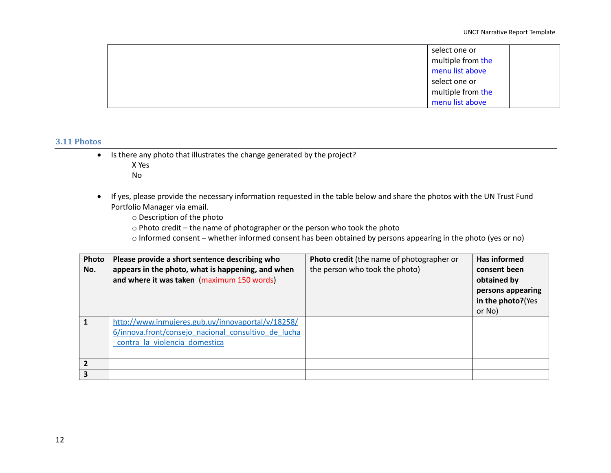| select one or<br>multiple from the |  |
|------------------------------------|--|
| menu list above                    |  |
| select one or                      |  |
| multiple from the                  |  |
| menu list above                    |  |

#### **3.11 Photos**

- Is there any photo that illustrates the change generated by the project?
	- X Yes
	- No
- If yes, please provide the necessary information requested in the table below and share the photos with the UN Trust Fund Portfolio Manager via email.

o Description of the photo

o Photo credit – the name of photographer or the person who took the photo

o Informed consent – whether informed consent has been obtained by persons appearing in the photo (yes or no)

| Photo<br>No. | Please provide a short sentence describing who<br>appears in the photo, what is happening, and when<br>and where it was taken (maximum 150 words) | <b>Photo credit</b> (the name of photographer or<br>the person who took the photo) | Has informed<br>consent been<br>obtained by<br>persons appearing<br>in the photo?(Yes<br>or No) |
|--------------|---------------------------------------------------------------------------------------------------------------------------------------------------|------------------------------------------------------------------------------------|-------------------------------------------------------------------------------------------------|
| 1            | http://www.inmujeres.gub.uy/innovaportal/v/18258/<br>6/innova.front/consejo nacional consultivo de lucha<br>contra la violencia domestica         |                                                                                    |                                                                                                 |
|              |                                                                                                                                                   |                                                                                    |                                                                                                 |
|              |                                                                                                                                                   |                                                                                    |                                                                                                 |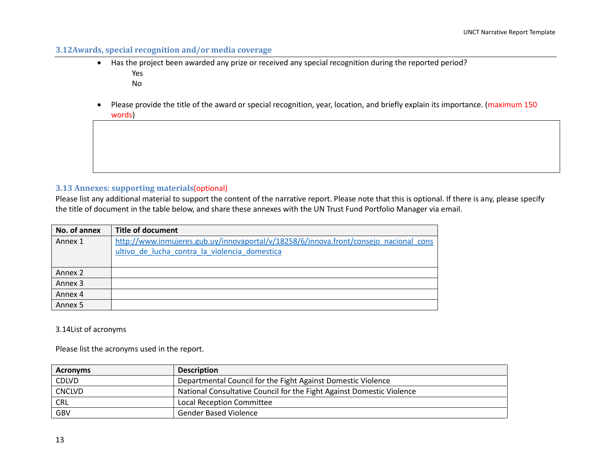# **3.12Awards, special recognition and/or media coverage**

- Has the project been awarded any prize or received any special recognition during the reported period? Yes
	- No
- Please provide the title of the award or special recognition, year, location, and briefly explain its importance. (maximum 150 words)

## **3.13 Annexes: supporting materials**(optional)

Please list any additional material to support the content of the narrative report. Please note that this is optional. If there is any, please specify the title of document in the table below, and share these annexes with the UN Trust Fund Portfolio Manager via email.

| No. of annex       | <b>Title of document</b>                                                              |
|--------------------|---------------------------------------------------------------------------------------|
| Annex 1            | http://www.inmujeres.gub.uy/innovaportal/v/18258/6/innova.front/consejo nacional cons |
|                    | ultivo de lucha contra la violencia domestica                                         |
|                    |                                                                                       |
| Annex 2            |                                                                                       |
| Annex 3            |                                                                                       |
| Annex 4            |                                                                                       |
| Annex <sub>5</sub> |                                                                                       |

#### 3.14List of acronyms

Please list the acronyms used in the report.

| <b>Acronyms</b> | <b>Description</b>                                                    |
|-----------------|-----------------------------------------------------------------------|
| <b>CDLVD</b>    | Departmental Council for the Fight Against Domestic Violence          |
| <b>CNCLVD</b>   | National Consultative Council for the Fight Against Domestic Violence |
| <b>CRL</b>      | Local Reception Committee                                             |
| GBV             | <b>Gender Based Violence</b>                                          |